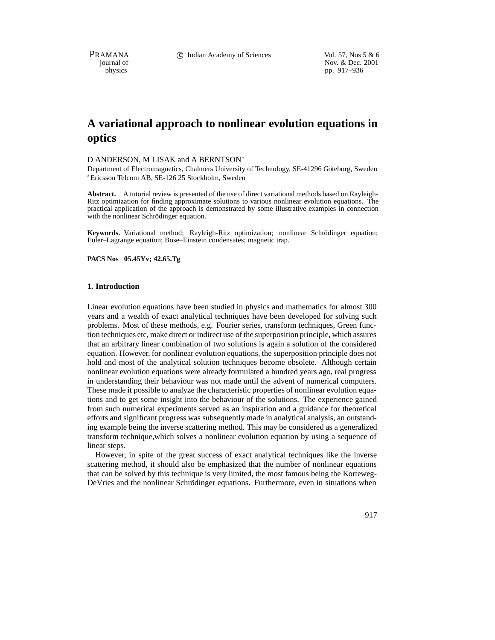PRAMANA 
compared to Compared Compared Compared Compared Compared Vol. 57, Nos 5 & 6<br>
compared to Compared Compared Nov. & Dec. 2001 position of the interval of Nov. & Dec. 2001<br>
position by the position of the position of the position of the position of the position of the position of the position of the position of the position of the position of the pp. 917–936

# **A variational approach to nonlinear evolution equations in optics**

#### D ANDERSON, M LISAK and A BERNTSON

Department of Electromagnetics, Chalmers University of Technology, SE-41296 Göteborg, Sweden Ericsson Telcom AB, SE-126 25 Stockholm, Sweden

**Abstract.** A tutorial review is presented of the use of direct variational methods based on Rayleigh-Ritz optimization for finding approximate solutions to various nonlinear evolution equations. The practical application of the approach is demonstrated by some illustrative examples in connection with the nonlinear Schrödinger equation.

Keywords. Variational method; Rayleigh-Ritz optimization; nonlinear Schrödinger equation; Euler–Lagrange equation; Bose–Einstein condensates; magnetic trap.

**PACS Nos 05.45Yv; 42.65.Tg**

## **1. Introduction**

Linear evolution equations have been studied in physics and mathematics for almost 300 years and a wealth of exact analytical techniques have been developed for solving such problems. Most of these methods, e.g. Fourier series, transform techniques, Green function techniques etc, make direct or indirect use of the superposition principle, which assures that an arbitrary linear combination of two solutions is again a solution of the considered equation. However, for nonlinear evolution equations, the superposition principle does not hold and most of the analytical solution techniques become obsolete. Although certain nonlinear evolution equations were already formulated a hundred years ago, real progress in understanding their behaviour was not made until the advent of numerical computers. These made it possible to analyze the characteristic properties of nonlinear evolution equations and to get some insight into the behaviour of the solutions. The experience gained from such numerical experiments served as an inspiration and a guidance for theoretical efforts and significant progress was subsequently made in analytical analysis, an outstanding example being the inverse scattering method. This may be considered as a generalized transform technique,which solves a nonlinear evolution equation by using a sequence of linear steps.

However, in spite of the great success of exact analytical techniques like the inverse scattering method, it should also be emphasized that the number of nonlinear equations that can be solved by this technique is very limited, the most famous being the Korteweg-DeVries and the nonlinear Schrödinger equations. Furthermore, even in situations when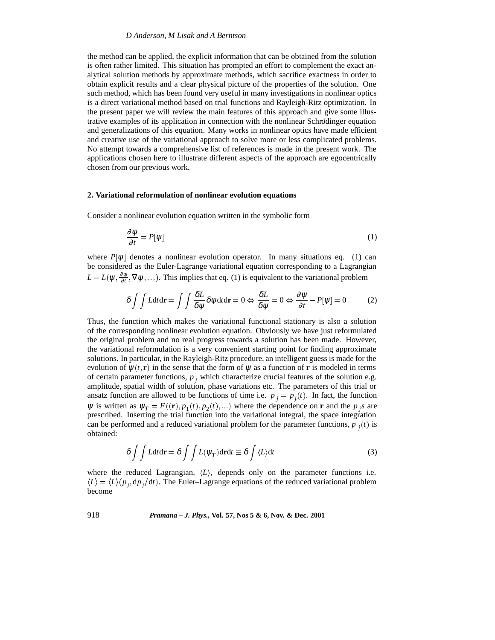the method can be applied, the explicit information that can be obtained from the solution is often rather limited. This situation has prompted an effort to complement the exact analytical solution methods by approximate methods, which sacrifice exactness in order to obtain explicit results and a clear physical picture of the properties of the solution. One such method, which has been found very useful in many investigations in nonlinear optics is a direct variational method based on trial functions and Rayleigh-Ritz optimization. In the present paper we will review the main features of this approach and give some illustrative examples of its application in connection with the nonlinear Schrödinger equation and generalizations of this equation. Many works in nonlinear optics have made efficient and creative use of the variational approach to solve more or less complicated problems. No attempt towards a comprehensive list of references is made in the present work. The applications chosen here to illustrate different aspects of the approach are egocentrically chosen from our previous work.

# **2. Variational reformulation of nonlinear evolution equations**

Consider a nonlinear evolution equation written in the symbolic form

$$
\frac{\partial \psi}{\partial t} = P[\psi] \tag{1}
$$

where  $P[\psi]$  denotes a nonlinear evolution operator. In many situations eq. (1) can be considered as the Euler-Lagrange variational equation corresponding to a Lagrangian  $L = L(\psi, \frac{\partial \psi}{\partial t}, \nabla \psi, \ldots)$ . This implies that eq. (1) is equivalent to the variational problem

$$
\delta \int \int L dt dr = \int \int \frac{\delta L}{\delta \psi} \delta \psi dt dr = 0 \Leftrightarrow \frac{\delta L}{\delta \psi} = 0 \Leftrightarrow \frac{\partial \psi}{\partial t} - P[\psi] = 0 \tag{2}
$$

Thus, the function which makes the variational functional stationary is also a solution of the corresponding nonlinear evolution equation. Obviously we have just reformulated the original problem and no real progress towards a solution has been made. However, the variational reformulation is a very convenient starting point for finding approximate solutions. In particular, in the Rayleigh-Ritz procedure, an intelligent guess is made for the evolution of  $\psi(t, \mathbf{r})$  in the sense that the form of  $\psi$  as a function of **r** is modeled in terms of certain parameter functions,  $p_i$  which characterize crucial features of the solution e.g. amplitude, spatial width of solution, phase variations etc. The parameters of this trial or ansatz function are allowed to be functions of time i.e.  $p_j = p_j(t)$ . In fact, the function  $\psi$  is written as  $\psi_T = F((\mathbf{r}), p_1(t), p_2(t), ...)$  where the dependence on **r** and the  $p_j$  are prescribed. Inserting the trial function into the variational integral, the space integration can be performed and a reduced variational problem for the parameter functions,  $p_i(t)$  is obtained:

$$
\delta \int \int L dt d\mathbf{r} = \delta \int \int L(\psi_T) d\mathbf{r} dt \equiv \delta \int \langle L \rangle dt
$$
\n(3)

where the reduced Lagrangian,  $\langle L \rangle$ , depends only on the parameter functions i.e.  $\langle L \rangle = \langle L \rangle (p_i, dp_j/dt)$ . The Euler–Lagrange equations of the reduced variational problem become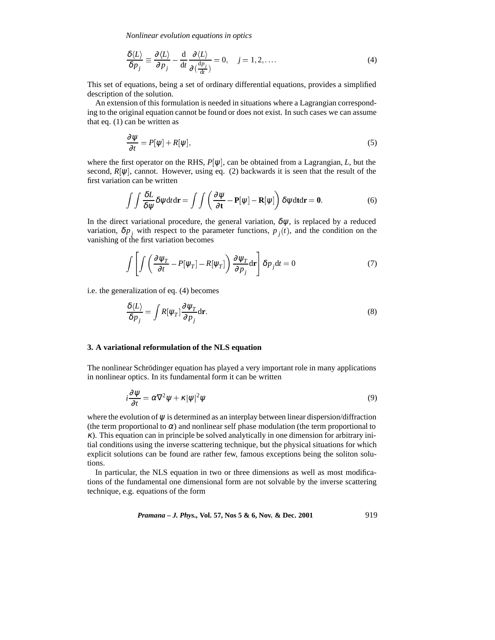*Nonlinear evolution equations in optics*

$$
\frac{\delta \langle L \rangle}{\delta p_j} \equiv \frac{\partial \langle L \rangle}{\partial p_j} - \frac{\mathrm{d}}{\mathrm{d}t} \frac{\partial \langle L \rangle}{\partial (\frac{\mathrm{d}p_j}{\mathrm{d}t})} = 0, \quad j = 1, 2, \dots \tag{4}
$$

This set of equations, being a set of ordinary differential equations, provides a simplified description of the solution.

An extension of this formulation is needed in situations where a Lagrangian corresponding to the original equation cannot be found or does not exist. In such cases we can assume that eq. (1) can be written as

$$
\frac{\partial \psi}{\partial t} = P[\psi] + R[\psi],\tag{5}
$$

where the first operator on the RHS,  $P[\psi]$ , can be obtained from a Lagrangian, *L*, but the second,  $R[\psi]$ , cannot. However, using eq. (2) backwards it is seen that the result of the first variation can be written

$$
\int \int \frac{\delta L}{\delta \psi} \delta \psi \mathrm{d}t \mathrm{d}\mathbf{r} = \int \int \left( \frac{\partial \psi}{\partial \mathbf{t}} - \mathbf{P}[\psi] - \mathbf{R}[\psi] \right) \delta \psi \mathrm{d}\mathbf{t} \mathrm{d}\mathbf{r} = \mathbf{0}.
$$
 (6)

In the direct variational procedure, the general variation,  $\delta \psi$ , is replaced by a reduced variation,  $\delta p_i$  with respect to the parameter functions,  $p_i(t)$ , and the condition on the vanishing of the first variation becomes

$$
\int \left[ \int \left( \frac{\partial \psi_T}{\partial t} - P[\psi_T] - R[\psi_T] \right) \frac{\partial \psi_T}{\partial p_j} d\mathbf{r} \right] \delta p_j dt = 0 \tag{7}
$$

i.e. the generalization of eq. (4) becomes

$$
\frac{\delta \langle L \rangle}{\delta p_j} = \int R[\psi_T] \frac{\partial \psi_T}{\partial p_j} \text{d} \mathbf{r}.
$$
\n(8)

#### **3. A variational reformulation of the NLS equation**

The nonlinear Schrödinger equation has played a very important role in many applications in nonlinear optics. In its fundamental form it can be written

$$
i\frac{\partial \psi}{\partial t} = \alpha \nabla^2 \psi + \kappa |\psi|^2 \psi \tag{9}
$$

where the evolution of  $\psi$  is determined as an interplay between linear dispersion/diffraction (the term proportional to  $\alpha$ ) and nonlinear self phase modulation (the term proportional to κ). This equation can in principle be solved analytically in one dimension for arbitrary initial conditions using the inverse scattering technique, but the physical situations for which explicit solutions can be found are rather few, famous exceptions being the soliton solutions.

In particular, the NLS equation in two or three dimensions as well as most modifications of the fundamental one dimensional form are not solvable by the inverse scattering technique, e.g. equations of the form

*Pramana – J. Phys.,* **Vol. 57, Nos 5 & 6, Nov. & Dec. 2001** 919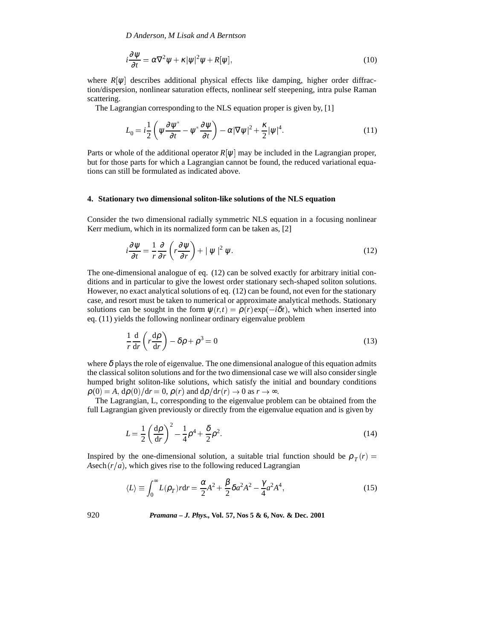$$
i\frac{\partial \psi}{\partial t} = \alpha \nabla^2 \psi + \kappa |\psi|^2 \psi + R[\psi], \qquad (10)
$$

where  $R[\psi]$  describes additional physical effects like damping, higher order diffraction/dispersion, nonlinear saturation effects, nonlinear self steepening, intra pulse Raman scattering.

The Lagrangian corresponding to the NLS equation proper is given by, [1]

$$
L_0 = i\frac{1}{2} \left( \psi \frac{\partial \psi^*}{\partial t} - \psi^* \frac{\partial \psi}{\partial t} \right) - \alpha |\nabla \psi|^2 + \frac{\kappa}{2} |\psi|^4. \tag{11}
$$

Parts or whole of the additional operator  $R[\psi]$  may be included in the Lagrangian proper, but for those parts for which a Lagrangian cannot be found, the reduced variational equations can still be formulated as indicated above.

## **4. Stationary two dimensional soliton-like solutions of the NLS equation**

Consider the two dimensional radially symmetric NLS equation in a focusing nonlinear Kerr medium, which in its normalized form can be taken as, [2]

$$
i\frac{\partial \psi}{\partial t} = \frac{1}{r}\frac{\partial}{\partial r}\left(r\frac{\partial \psi}{\partial r}\right) + |\psi|^2 \psi.
$$
 (12)

The one-dimensional analogue of eq. (12) can be solved exactly for arbitrary initial conditions and in particular to give the lowest order stationary sech-shaped soliton solutions. However, no exact analytical solutions of eq. (12) can be found, not even for the stationary case, and resort must be taken to numerical or approximate analytical methods. Stationary solutions can be sought in the form  $\psi(r,t) = \rho(r) \exp(-i\delta t)$ , which when inserted into eq. (11) yields the following nonlinear ordinary eigenvalue problem

$$
\frac{1}{r}\frac{d}{dr}\left(r\frac{d\rho}{dr}\right) - \delta\rho + \rho^3 = 0\tag{13}
$$

where  $\delta$  plays the role of eigenvalue. The one dimensional analogue of this equation admits the classical soliton solutions and for the two dimensional case we will also consider single humped bright soliton-like solutions, which satisfy the initial and boundary conditions  $\rho(0) = A$ ,  $d\rho(0)/dr = 0$ ,  $\rho(r)$  and  $d\rho/dr(r) \rightarrow 0$  as  $r \rightarrow \infty$ .

The Lagrangian, L, corresponding to the eigenvalue problem can be obtained from the full Lagrangian given previously or directly from the eigenvalue equation and is given by

$$
L = \frac{1}{2} \left( \frac{d\rho}{dr} \right)^2 - \frac{1}{4} \rho^4 + \frac{\delta}{2} \rho^2.
$$
 (14)

Inspired by the one-dimensional solution, a suitable trial function should be  $\rho_T(r)$  = Asech  $(r/a)$ , which gives rise to the following reduced Lagrangian

$$
\langle L \rangle \equiv \int_0^\infty L(\rho_T) r dr = \frac{\alpha}{2} A^2 + \frac{\beta}{2} \delta a^2 A^2 - \frac{\gamma}{4} a^2 A^4,\tag{15}
$$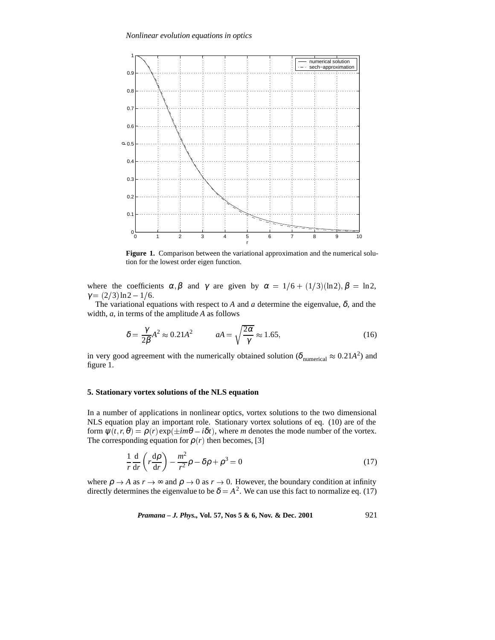

**Figure 1.** Comparison between the variational approximation and the numerical solution for the lowest order eigen function.

where the coefficients  $\alpha, \beta$  and  $\gamma$  are given by  $\alpha = 1/6 + (1/3)(\ln 2), \beta = \ln 2$ ,  $\gamma = (2/3) \ln 2 - 1/6.$ 

The variational equations with respect to *A* and *a* determine the eigenvalue,  $\delta$ , and the width, *a*, in terms of the amplitude *A* as follows

$$
\delta = \frac{\gamma}{2\beta} A^2 \approx 0.21 A^2 \qquad aA = \sqrt{\frac{2\alpha}{\gamma}} \approx 1.65, \tag{16}
$$

in very good agreement with the numerically obtained solution ( $\delta_{\text{numerical}} \approx 0.21 \text{A}^2$ ) and figure 1.

## **5. Stationary vortex solutions of the NLS equation**

In a number of applications in nonlinear optics, vortex solutions to the two dimensional NLS equation play an important role. Stationary vortex solutions of eq. (10) are of the form  $\psi(t, r, \theta) = \rho(r) \exp(\pm im\theta - i\delta t)$ , where *m* denotes the mode number of the vortex. The corresponding equation for  $\rho(r)$  then becomes, [3]

$$
\frac{1}{r}\frac{d}{dr}\left(r\frac{d\rho}{dr}\right) - \frac{m^2}{r^2}\rho - \delta\rho + \rho^3 = 0\tag{17}
$$

where  $\rho \rightarrow A$  as  $r \rightarrow \infty$  and  $\rho \rightarrow 0$  as  $r \rightarrow 0$ . However, the boundary condition at infinity directly determines the eigenvalue to be  $\delta = A^2$ . We can use this fact to normalize eq. (17)

*Pramana – J. Phys.,* **Vol. 57, Nos 5 & 6, Nov. & Dec. 2001** 921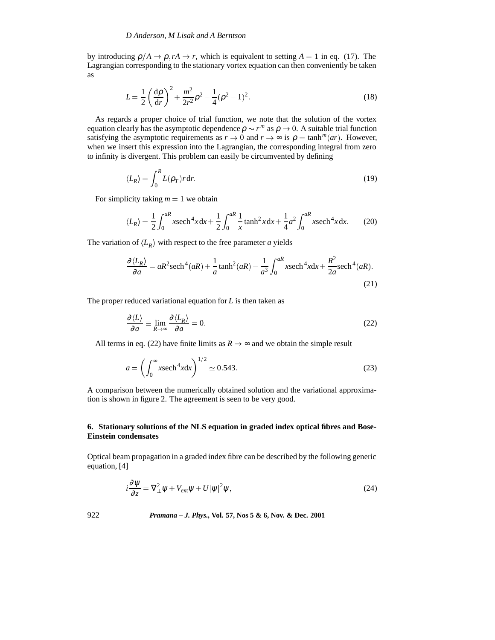by introducing  $\rho/A \to \rho$ ,  $rA \to r$ , which is equivalent to setting  $A = 1$  in eq. (17). The Lagrangian corresponding to the stationary vortex equation can then conveniently be taken as

$$
L = \frac{1}{2} \left( \frac{d\rho}{dr} \right)^2 + \frac{m^2}{2r^2} \rho^2 - \frac{1}{4} (\rho^2 - 1)^2.
$$
 (18)

As regards a proper choice of trial function, we note that the solution of the vortex equation clearly has the asymptotic dependence  $\rho \sim r^m$  as  $\rho \to 0$ . A suitable trial function satisfying the asymptotic requirements as  $r \to 0$  and  $r \to \infty$  is  $\rho = \tanh^{m}(ar)$ . However, when we insert this expression into the Lagrangian, the corresponding integral from zero to infinity is divergent. This problem can easily be circumvented by defining

$$
\langle L_R \rangle = \int_0^R L(\rho_T) r \, dr. \tag{19}
$$

For simplicity taking  $m = 1$  we obtain

$$
\langle L_R \rangle = \frac{1}{2} \int_0^{aR} x \operatorname{sech}^4 x \, dx + \frac{1}{2} \int_0^{aR} \frac{1}{x} \tanh^2 x \, dx + \frac{1}{4} a^2 \int_0^{aR} x \operatorname{sech}^4 x \, dx. \tag{20}
$$

The variation of  $\langle L_R \rangle$  with respect to the free parameter *a* yields

$$
\frac{\partial \langle L_R \rangle}{\partial a} = aR^2 \operatorname{sech}^4(aR) + \frac{1}{a} \tanh^2(aR) - \frac{1}{a^3} \int_0^{aR} x \operatorname{sech}^4 x dx + \frac{R^2}{2a} \operatorname{sech}^4(aR).
$$
\n(21)

The proper reduced variational equation for *L* is then taken as

$$
\frac{\partial \langle L \rangle}{\partial a} \equiv \lim_{R \to \infty} \frac{\partial \langle L_R \rangle}{\partial a} = 0. \tag{22}
$$

All terms in eq. (22) have finite limits as  $R \rightarrow \infty$  and we obtain the simple result

$$
a = \left(\int_0^\infty x \mathrm{sech}^4 x \mathrm{d}x\right)^{1/2} \simeq 0.543. \tag{23}
$$

A comparison between the numerically obtained solution and the variational approximation is shown in figure 2. The agreement is seen to be very good.

# **6. Stationary solutions of the NLS equation in graded index optical fibres and Bose-Einstein condensates**

Optical beam propagation in a graded index fibre can be described by the following generic equation, [4]

$$
i\frac{\partial \psi}{\partial z} = \nabla_{\perp}^2 \psi + V_{\text{ext}} \psi + U |\psi|^2 \psi,
$$
\n(24)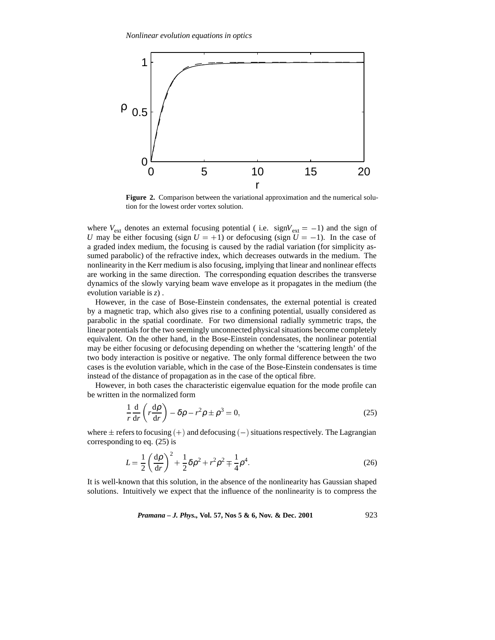

**Figure 2.** Comparison between the variational approximation and the numerical solution for the lowest order vortex solution.

where  $V_{ext}$  denotes an external focusing potential (i.e. sign $V_{ext} = -1$ ) and the sign of *U* may be either focusing (sign  $U = +1$ ) or defocusing (sign  $\overline{U} = -1$ ). In the case of a graded index medium, the focusing is caused by the radial variation (for simplicity assumed parabolic) of the refractive index, which decreases outwards in the medium. The nonlinearity in the Kerr medium is also focusing, implying that linear and nonlinear effects are working in the same direction. The corresponding equation describes the transverse dynamics of the slowly varying beam wave envelope as it propagates in the medium (the evolution variable is *z*) .

However, in the case of Bose-Einstein condensates, the external potential is created by a magnetic trap, which also gives rise to a confining potential, usually considered as parabolic in the spatial coordinate. For two dimensional radially symmetric traps, the linear potentials for the two seemingly unconnected physical situations become completely equivalent. On the other hand, in the Bose-Einstein condensates, the nonlinear potential may be either focusing or defocusing depending on whether the 'scattering length' of the two body interaction is positive or negative. The only formal difference between the two cases is the evolution variable, which in the case of the Bose-Einstein condensates is time instead of the distance of propagation as in the case of the optical fibre.

However, in both cases the characteristic eigenvalue equation for the mode profile can be written in the normalized form

$$
\frac{1}{r}\frac{d}{dr}\left(r\frac{d\rho}{dr}\right) - \delta\rho - r^2\rho \pm \rho^3 = 0,
$$
\n(25)

where  $\pm$  refers to focusing (+) and defocusing (-) situations respectively. The Lagrangian corresponding to eq. (25) is

$$
L = \frac{1}{2} \left( \frac{d\rho}{dr} \right)^2 + \frac{1}{2} \delta \rho^2 + r^2 \rho^2 \mp \frac{1}{4} \rho^4.
$$
 (26)

It is well-known that this solution, in the absence of the nonlinearity has Gaussian shaped solutions. Intuitively we expect that the influence of the nonlinearity is to compress the

*Pramana – J. Phys.,* **Vol. 57, Nos 5 & 6, Nov. & Dec. 2001** 923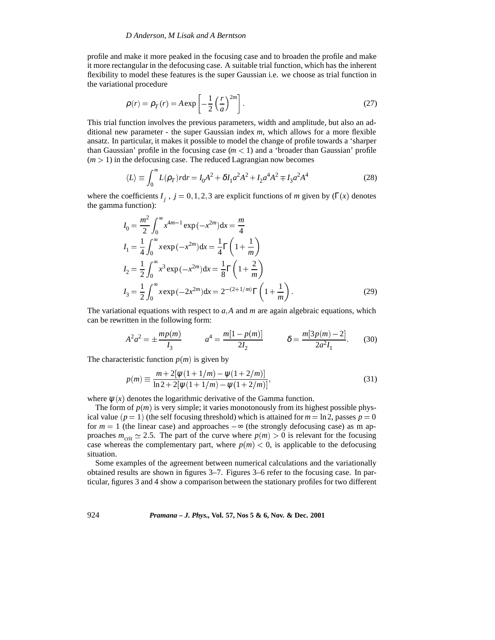profile and make it more peaked in the focusing case and to broaden the profile and make it more rectangular in the defocusing case. A suitable trial function, which has the inherent flexibility to model these features is the super Gaussian i.e. we choose as trial function in the variational procedure

$$
\rho(r) = \rho_T(r) = A \exp\left[-\frac{1}{2}\left(\frac{r}{a}\right)^{2m}\right].
$$
\n(27)

This trial function involves the previous parameters, width and amplitude, but also an additional new parameter - the super Gaussian index *m*, which allows for a more flexible ansatz. In particular, it makes it possible to model the change of profile towards a 'sharper than Gaussian' profile in the focusing case  $(m < 1)$  and a 'broader than Gaussian' profile  $(m > 1)$  in the defocusing case. The reduced Lagrangian now becomes

$$
\langle L \rangle \equiv \int_0^\infty L(\rho_T) r dr = I_0 A^2 + \delta I_1 a^2 A^2 + I_2 a^4 A^2 \mp I_3 a^2 A^4 \tag{28}
$$

where the coefficients  $I_j$ ,  $j = 0, 1, 2, 3$  are explicit functions of *m* given by (Γ(*x*) denotes the gamma function):

$$
I_0 = \frac{m^2}{2} \int_0^\infty x^{4m-1} \exp(-x^{2m}) dx = \frac{m}{4}
$$
  
\n
$$
I_1 = \frac{1}{4} \int_0^\infty x \exp(-x^{2m}) dx = \frac{1}{4} \Gamma\left(1 + \frac{1}{m}\right)
$$
  
\n
$$
I_2 = \frac{1}{2} \int_0^\infty x^3 \exp(-x^{2m}) dx = \frac{1}{8} \Gamma\left(1 + \frac{2}{m}\right)
$$
  
\n
$$
I_3 = \frac{1}{2} \int_0^\infty x \exp(-2x^{2m}) dx = 2^{-(2+1/m)} \Gamma\left(1 + \frac{1}{m}\right).
$$
 (29)

The variational equations with respect to  $a<sub>i</sub>A$  and  $m$  are again algebraic equations, which can be rewritten in the following form:

$$
A^{2}a^{2} = \pm \frac{mp(m)}{I_{3}} \qquad a^{4} = \frac{m[1-p(m)]}{2I_{2}} \qquad \delta = \frac{m[3p(m)-2]}{2a^{2}I_{1}}.
$$
 (30)

The characteristic function  $p(m)$  is given by

$$
p(m) \equiv \frac{m + 2[\psi(1 + 1/m) - \psi(1 + 2/m)]}{\ln 2 + 2[\psi(1 + 1/m) - \psi(1 + 2/m)]},
$$
\n(31)

where  $\psi(x)$  denotes the logarithmic derivative of the Gamma function.

The form of  $p(m)$  is very simple; it varies monotonously from its highest possible physical value ( $p = 1$ ) (the self focusing threshold) which is attained for  $m = \ln 2$ , passes  $p = 0$ for  $m = 1$  (the linear case) and approaches  $-\infty$  (the strongly defocusing case) as m approaches  $m_{\text{crit}} \simeq 2.5$ . The part of the curve where  $p(m) > 0$  is relevant for the focusing case whereas the complementary part, where  $p(m) < 0$ , is applicable to the defocusing situation.

Some examples of the agreement between numerical calculations and the variationally obtained results are shown in figures 3–7. Figures 3–6 refer to the focusing case. In particular, figures 3 and 4 show a comparison between the stationary profiles for two different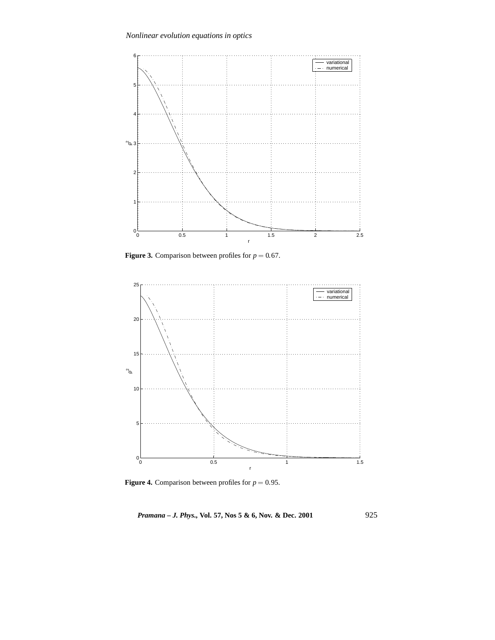

**Figure 3.** Comparison between profiles for  $p = 0.67$ .



**Figure 4.** Comparison between profiles for  $p = 0.95$ .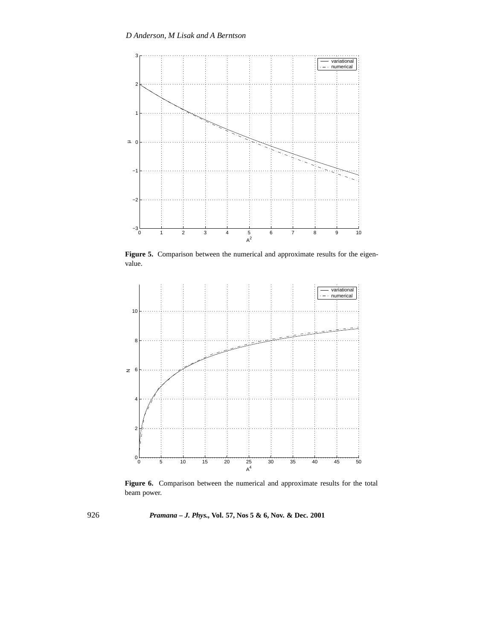

**Figure 5.** Comparison between the numerical and approximate results for the eigenvalue.



**Figure 6.** Comparison between the numerical and approximate results for the total beam power.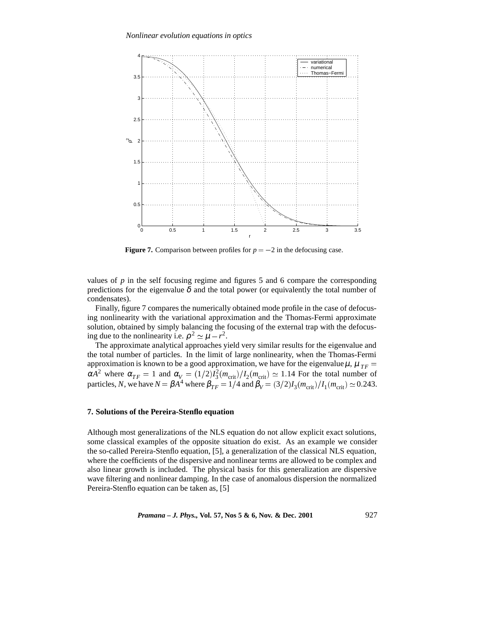

**Figure 7.** Comparison between profiles for  $p = -2$  in the defocusing case.

values of  $p$  in the self focusing regime and figures 5 and 6 compare the corresponding predictions for the eigenvalue  $\delta$  and the total power (or equivalently the total number of condensates).

Finally, figure 7 compares the numerically obtained mode profile in the case of defocusing nonlinearity with the variational approximation and the Thomas-Fermi approximate solution, obtained by simply balancing the focusing of the external trap with the defocusing due to the nonlinearity i.e.  $\rho^2 \simeq \mu - r^2$ .

The approximate analytical approaches yield very similar results for the eigenvalue and the total number of particles. In the limit of large nonlinearity, when the Thomas-Fermi approximation is known to be a good approximation, we have for the eigenvalue  $\mu$ ,  $\mu_{TF} =$  $\alpha A^2$  where  $\alpha_{TF} = 1$  and  $\alpha_V = (1/2)I_3^2(m_{\text{crit}})/I_2(m_{\text{crit}}) \approx 1.14$  For the total number of particles, *N*, we have  $N = \beta A^4$  where  $\beta_{TF} = 1/4$  and  $\beta_V = (3/2)I_3(m_{\text{crit}})/I_1(m_{\text{crit}}) \simeq 0.243$ .

# **7. Solutions of the Pereira-Stenflo equation**

Although most generalizations of the NLS equation do not allow explicit exact solutions, some classical examples of the opposite situation do exist. As an example we consider the so-called Pereira-Stenflo equation, [5], a generalization of the classical NLS equation, where the coefficients of the dispersive and nonlinear terms are allowed to be complex and also linear growth is included. The physical basis for this generalization are dispersive wave filtering and nonlinear damping. In the case of anomalous dispersion the normalized Pereira-Stenflo equation can be taken as, [5]

*Pramana – J. Phys.,* **Vol. 57, Nos 5 & 6, Nov. & Dec. 2001** 927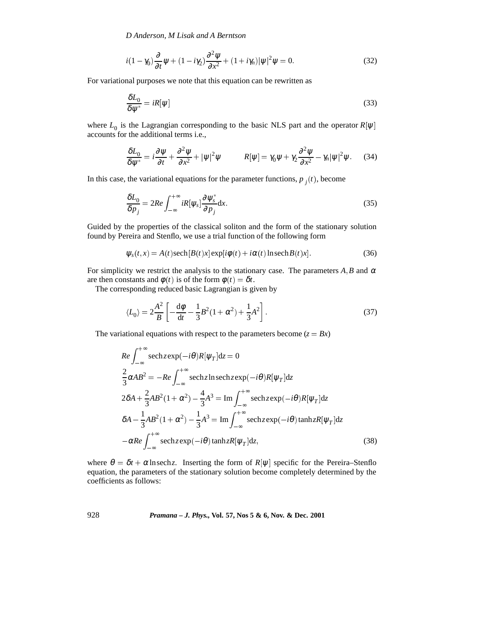$$
i(1 - \gamma_0) \frac{\partial}{\partial t} \psi + (1 - i\gamma_2) \frac{\partial^2 \psi}{\partial x^2} + (1 + i\gamma_n) |\psi|^2 \psi = 0.
$$
 (32)

For variational purposes we note that this equation can be rewritten as

$$
\frac{\delta L_0}{\delta \psi^*} = iR[\psi] \tag{33}
$$

where  $L_0$  is the Lagrangian corresponding to the basic NLS part and the operator  $R[\psi]$ accounts for the additional terms i.e.,

$$
\frac{\delta L_0}{\delta \psi^*} = i \frac{\partial \psi}{\partial t} + \frac{\partial^2 \psi}{\partial x^2} + |\psi|^2 \psi \qquad R[\psi] = \gamma_0 \psi + \gamma_2 \frac{\partial^2 \psi}{\partial x^2} - \gamma_n |\psi|^2 \psi. \tag{34}
$$

In this case, the variational equations for the parameter functions,  $p_j(t)$ , become

$$
\frac{\delta L_0}{\delta p_j} = 2Re \int_{-\infty}^{+\infty} iR[\psi_s] \frac{\partial \psi_s^*}{\partial p_j} dx.
$$
\n(35)

Guided by the properties of the classical soliton and the form of the stationary solution found by Pereira and Stenflo, we use a trial function of the following form

$$
\psi_s(t,x) = A(t)\text{sech}\left[B(t)x\right]\exp[i\phi(t) + i\alpha(t)\ln\text{sech}\,B(t)x].\tag{36}
$$

For simplicity we restrict the analysis to the stationary case. The parameters  $A, B$  and  $\alpha$ are then constants and  $\phi(t)$  is of the form  $\phi(t) = \delta t$ .

The corresponding reduced basic Lagrangian is given by

$$
\langle L_0 \rangle = 2 \frac{A^2}{B} \left[ -\frac{d\phi}{dt} - \frac{1}{3} B^2 (1 + \alpha^2) + \frac{1}{3} A^2 \right].
$$
 (37)

The variational equations with respect to the parameters become  $(z = Bx)$ 

$$
Re \int_{-\infty}^{+\infty} \operatorname{sech} z \exp(-i\theta) R[\psi_T] dz = 0
$$
  
\n
$$
\frac{2}{3} \alpha AB^2 = -Re \int_{-\infty}^{+\infty} \operatorname{sech} z \ln \operatorname{sech} z \exp(-i\theta) R[\psi_T] dz
$$
  
\n
$$
2\delta A + \frac{2}{3} AB^2 (1 + \alpha^2) - \frac{4}{3} A^3 = \operatorname{Im} \int_{-\infty}^{+\infty} \operatorname{sech} z \exp(-i\theta) R[\psi_T] dz
$$
  
\n
$$
\delta A - \frac{1}{3} AB^2 (1 + \alpha^2) - \frac{1}{3} A^3 = \operatorname{Im} \int_{-\infty}^{+\infty} \operatorname{sech} z \exp(-i\theta) \tanh z R[\psi_T] dz
$$
  
\n
$$
-\alpha Re \int_{-\infty}^{+\infty} \operatorname{sech} z \exp(-i\theta) \tanh z R[\psi_T] dz,
$$
\n(38)

where  $\theta = \delta t + \alpha \ln \text{sech } z$ . Inserting the form of  $R[\psi]$  specific for the Pereira–Stenflo equation, the parameters of the stationary solution become completely determined by the coefficients as follows: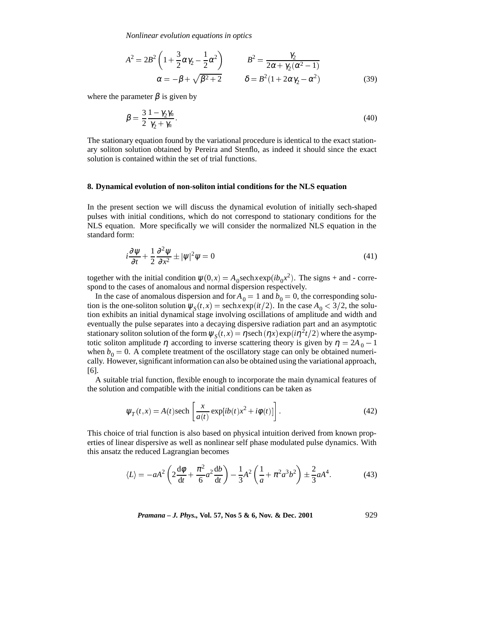*Nonlinear evolution equations in optics*

$$
A^{2} = 2B^{2} \left( 1 + \frac{3}{2} \alpha \gamma_{2} - \frac{1}{2} \alpha^{2} \right) \qquad B^{2} = \frac{\gamma_{2}}{2\alpha + \gamma_{2}(\alpha^{2} - 1)} \alpha = -\beta + \sqrt{\beta^{2} + 2} \qquad \delta = B^{2} (1 + 2\alpha \gamma_{2} - \alpha^{2})
$$
\n(39)

where the parameter  $\beta$  is given by

$$
\beta = \frac{3}{2} \frac{1 - \gamma_2 \gamma_n}{\gamma_2 + \gamma_n}.
$$
\n<sup>(40)</sup>

The stationary equation found by the variational procedure is identical to the exact stationary soliton solution obtained by Pereira and Stenflo, as indeed it should since the exact solution is contained within the set of trial functions.

#### **8. Dynamical evolution of non-soliton intial conditions for the NLS equation**

In the present section we will discuss the dynamical evolution of initially sech-shaped pulses with initial conditions, which do not correspond to stationary conditions for the NLS equation. More specifically we will consider the normalized NLS equation in the standard form:

$$
i\frac{\partial \psi}{\partial t} + \frac{1}{2} \frac{\partial^2 \psi}{\partial x^2} \pm |\psi|^2 \psi = 0 \tag{41}
$$

together with the initial condition  $\psi(0, x) = A_0$ sech $x \exp(i b_0 x^2)$ . The signs + and - correspond to the cases of anomalous and normal dispersion respectively.

In the case of anomalous dispersion and for  $A_0 = 1$  and  $b_0 = 0$ , the corresponding solution is the one-soliton solution  $\psi_s(t, x) = \text{sech}x \exp(it/2)$ . In the case  $A_0 < 3/2$ , the solution exhibits an initial dynamical stage involving oscillations of amplitude and width and eventually the pulse separates into a decaying dispersive radiation part and an asymptotic stationary soliton solution of the form  $\psi_s(t, x) = \eta \sech(\eta x) \exp(i\eta^2 t/2)$  where the asymptotic soliton amplitude  $\eta$  according to inverse scattering theory is given by  $\eta = 2A_0 - 1$ when  $b_0 = 0$ . A complete treatment of the oscillatory stage can only be obtained numerically. However, significant information can also be obtained using the variational approach, [6].

A suitable trial function, flexible enough to incorporate the main dynamical features of the solution and compatible with the initial conditions can be taken as

$$
\psi_T(t,x) = A(t)\text{sech}\left[\frac{x}{a(t)}\exp[i b(t)x^2 + i\phi(t)]\right].\tag{42}
$$

This choice of trial function is also based on physical intuition derived from known properties of linear dispersive as well as nonlinear self phase modulated pulse dynamics. With this ansatz the reduced Lagrangian becomes

$$
\langle L \rangle = -aA^2 \left( 2 \frac{d\phi}{dt} + \frac{\pi^2}{6} a^2 \frac{db}{dt} \right) - \frac{1}{3} A^2 \left( \frac{1}{a} + \pi^2 a^3 b^2 \right) \pm \frac{2}{3} aA^4. \tag{43}
$$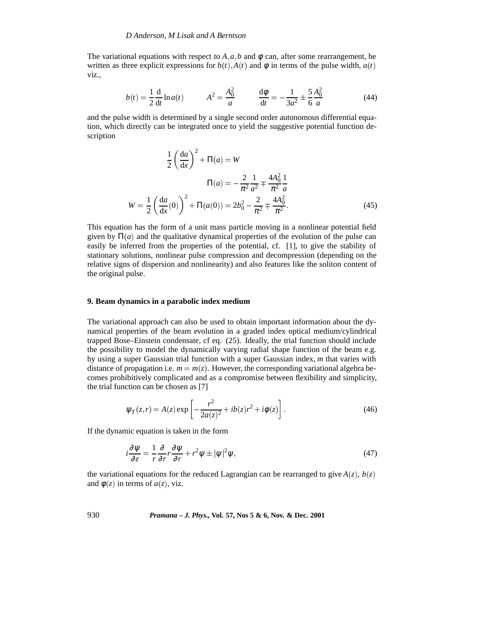The variational equations with respect to  $A$ ,  $a$ ,  $b$  and  $\phi$  can, after some rearrangement, be written as three explicit expressions for  $b(t)$ ,  $A(t)$  and  $\phi$  in terms of the pulse width,  $a(t)$ viz.,

$$
b(t) = \frac{1}{2} \frac{d}{dt} \ln a(t) \qquad A^2 = \frac{A_0^2}{a} \qquad \frac{d\phi}{dt} = -\frac{1}{3a^2} \pm \frac{5}{6} \frac{A_0^2}{a} \tag{44}
$$

and the pulse width is determined by a single second order autonomous differential equation, which directly can be integrated once to yield the suggestive potential function description

$$
\frac{1}{2} \left( \frac{da}{dx} \right)^2 + \Pi(a) = W
$$

$$
\Pi(a) = -\frac{2}{\pi^2} \frac{1}{a^2} \mp \frac{4A_0^2}{\pi^2} \frac{1}{a}
$$

$$
W = \frac{1}{2} \left( \frac{da}{dx}(0) \right)^2 + \Pi(a(0)) = 2b_0^2 - \frac{2}{\pi^2} \mp \frac{4A_0^2}{\pi^2}.
$$
(45)

This equation has the form of a unit mass particle moving in a nonlinear potential field given by  $\Pi(a)$  and the qualitative dynamical properties of the evolution of the pulse can easily be inferred from the properties of the potential, cf. [1], to give the stability of stationary solutions, nonlinear pulse compression and decompression (depending on the relative signs of dispersion and nonlinearity) and also features like the soliton content of the original pulse.

#### **9. Beam dynamics in a parabolic index medium**

The variational approach can also be used to obtain important information about the dynamical properties of the beam evolution in a graded index optical medium/cylindrical trapped Bose–Einstein condensate, cf eq. (25). Ideally, the trial function should include the possibility to model the dynamically varying radial shape function of the beam e.g. by using a super Gaussian trial function with a super Gaussian index, *m* that varies with distance of propagation i.e.  $m = m(z)$ . However, the corresponding variational algebra becomes prohibitively complicated and as a compromise between flexibility and simplicity, the trial function can be chosen as [7]

$$
\Psi_T(z,r) = A(z) \exp \left[ -\frac{r^2}{2a(z)^2} + ib(z)r^2 + i\phi(z) \right].
$$
 (46)

If the dynamic equation is taken in the form

$$
i\frac{\partial \psi}{\partial z} = \frac{1}{r}\frac{\partial}{\partial r}r\frac{\partial \psi}{\partial r} + r^2\psi \pm |\psi|^2\psi,
$$
\n(47)

the variational equations for the reduced Lagrangian can be rearranged to give  $A(z)$ ,  $b(z)$ and  $\phi(z)$  in terms of  $a(z)$ , viz.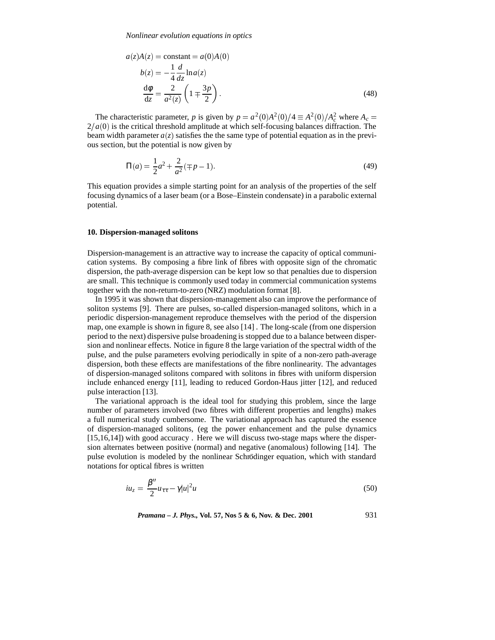$$
a(z)A(z) = \text{constant} = a(0)A(0)
$$
  
\n
$$
b(z) = -\frac{1}{4}\frac{d}{dz}\ln a(z)
$$
  
\n
$$
\frac{d\phi}{dz} = \frac{2}{a^2(z)}\left(1 \mp \frac{3p}{2}\right).
$$
\n(48)

The characteristic parameter, *p* is given by  $p = a^2(0)A^2(0)/4 \equiv A^2(0)/A_c^2$  where  $A_c =$  $2/a(0)$  is the critical threshold amplitude at which self-focusing balances diffraction. The beam width parameter  $a(z)$  satisfies the the same type of potential equation as in the previous section, but the potential is now given by

$$
\Pi(a) = \frac{1}{2}a^2 + \frac{2}{a^2}(\mp p - 1).
$$
\n(49)

This equation provides a simple starting point for an analysis of the properties of the self focusing dynamics of a laser beam (or a Bose–Einstein condensate) in a parabolic external potential.

## **10. Dispersion-managed solitons**

Dispersion-management is an attractive way to increase the capacity of optical communication systems. By composing a fibre link of fibres with opposite sign of the chromatic dispersion, the path-average dispersion can be kept low so that penalties due to dispersion are small. This technique is commonly used today in commercial communication systems together with the non-return-to-zero (NRZ) modulation format [8].

In 1995 it was shown that dispersion-management also can improve the performance of soliton systems [9]. There are pulses, so-called dispersion-managed solitons, which in a periodic dispersion-management reproduce themselves with the period of the dispersion map, one example is shown in figure 8, see also [14] . The long-scale (from one dispersion period to the next) dispersive pulse broadening is stopped due to a balance between dispersion and nonlinear effects. Notice in figure 8 the large variation of the spectral width of the pulse, and the pulse parameters evolving periodically in spite of a non-zero path-average dispersion, both these effects are manifestations of the fibre nonlinearity. The advantages of dispersion-managed solitons compared with solitons in fibres with uniform dispersion include enhanced energy [11], leading to reduced Gordon-Haus jitter [12], and reduced pulse interaction [13].

The variational approach is the ideal tool for studying this problem, since the large number of parameters involved (two fibres with different properties and lengths) makes a full numerical study cumbersome. The variational approach has captured the essence of dispersion-managed solitons, (eg the power enhancement and the pulse dynamics [15,16,14]) with good accuracy . Here we will discuss two-stage maps where the dispersion alternates between positive (normal) and negative (anomalous) following [14]. The pulse evolution is modeled by the nonlinear Schrödinger equation, which with standard notations for optical fibres is written

$$
i u_z = \frac{\beta''}{2} u_{\tau\tau} - \gamma |u|^2 u \tag{50}
$$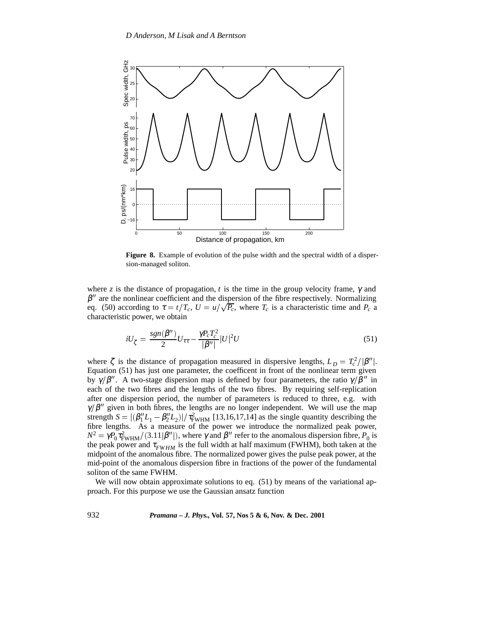

**Figure 8.** Example of evolution of the pulse width and the spectral width of a dispersion-managed soliton.

where *z* is the distance of propagation, *t* is the time in the group velocity frame,  $\gamma$  and  $\beta''$  are the nonlinear coefficient and the dispersion of the fibre respectively. Normalizing eq. (50) according to  $\tau = t/T_c$ ,  $U = u/\sqrt{P_c}$ , where  $T_c$  is a characteristic time and  $P_c$  a characteristic power, we obtain

$$
iU_{\zeta} = \frac{sgn(\beta'')}{2}U_{\tau\tau} - \frac{\gamma P_c T_c^2}{|\beta''|} |U|^2 U \tag{51}
$$

where  $\zeta$  is the distance of propagation measured in dispersive lengths,  $L_D = T_c^2/|\beta''|$ . Equation (51) has just one parameter, the coefficent in front of the nonlinear term given by  $\gamma/\beta''$ . A two-stage dispersion map is defined by four parameters, the ratio  $\gamma/\beta''$  in each of the two fibres and the lengths of the two fibres. By requiring self-replication after one dispersion period, the number of parameters is reduced to three, e.g. with  $\gamma/\beta''$  given in both fibres, the lengths are no longer independent. We will use the map strength  $S = |(\beta_1'' L_1 - \beta_2'' L_2)| / \tau_{FWHM}^2$  [13,16,17,14] as the single quantity describing the fibre lengths. As a measure of the power we introduce the normalized peak power,  $N^2 = \gamma P_0 \tau_{\text{FWHM}}^2/(3.11|\beta''|)$ , where  $\gamma$  and  $\beta''$  refer to the anomalous dispersion fibre,  $P_0$  is the peak power and  $\tau_{FWHM}$  is the full width at half maximum (FWHM), both taken at the midpoint of the anomalous fibre. The normalized power gives the pulse peak power, at the mid-point of the anomalous dispersion fibre in fractions of the power of the fundamental soliton of the same FWHM.

We will now obtain approximate solutions to eq. (51) by means of the variational approach. For this purpose we use the Gaussian ansatz function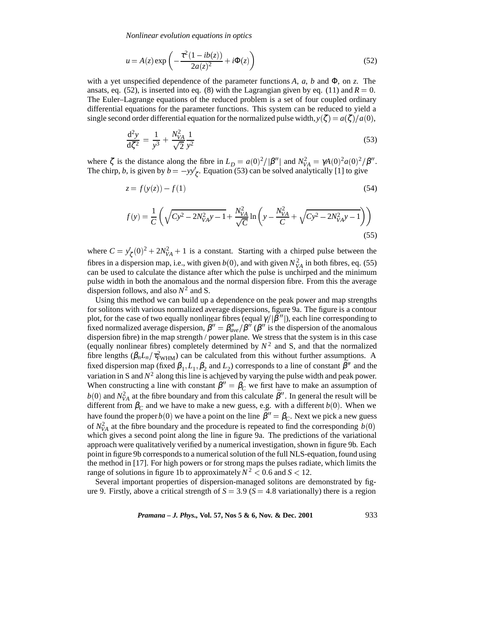*Nonlinear evolution equations in optics*

$$
u = A(z) \exp\left(-\frac{\tau^2 (1 - ib(z))}{2a(z)^2} + i\Phi(z)\right)
$$
\n(52)

with a yet unspecified dependence of the parameter functions  $A$ ,  $a$ ,  $b$  and  $\Phi$ , on  $z$ . The ansats, eq.  $(52)$ , is inserted into eq.  $(8)$  with the Lagrangian given by eq.  $(11)$  and  $R = 0$ . The Euler–Lagrange equations of the reduced problem is a set of four coupled ordinary differential equations for the parameter functions. This system can be reduced to yield a single second order differential equation for the normalized pulse width,  $y(\zeta) = a(\zeta)/a(0)$ ,

$$
\frac{d^2y}{d\zeta^2} = \frac{1}{y^3} + \frac{N_{VA}^2}{\sqrt{2}} \frac{1}{y^2}
$$
 (53)

where  $\zeta$  is the distance along the fibre in  $L_D = a(0)^2/|\beta''|$  and  $N_{VA}^2 = \gamma A(0)^2 a(0)^2/\beta''$ . The chirp, *b*, is given by  $b = -yy'_{\zeta}$ . Equation (53) can be solved analytically [1] to give

$$
z = f(y(z)) - f(1) \tag{54}
$$

$$
f(y) = \frac{1}{C} \left( \sqrt{Cy^2 - 2N_{VA}^2 y - 1} + \frac{N_{VA}^2}{\sqrt{C}} \ln \left( y - \frac{N_{VA}^2}{C} + \sqrt{Cy^2 - 2N_{VA}^2 y - 1} \right) \right)
$$
(55)

where  $C = y'_{\zeta}(0)^2 + 2N_{VA}^2 + 1$  is a constant. Starting with a chirped pulse between the fibres in a dispersion map, i.e., with given  $b(0)$ , and with given  $N_{VA}^2$  in both fibres, eq. (55) can be used to calculate the distance after which the pulse is unchirped and the minimum pulse width in both the anomalous and the normal dispersion fibre. From this the average dispersion follows, and also *N*<sup>2</sup> and S.

Using this method we can build up a dependence on the peak power and map strengths for solitons with various normalized average dispersions, figure 9a. The figure is a contour plot, for the case of two equally nonlinear fibres (equal  $\gamma/|\beta''|$ ), each line corresponding to fixed normalized average dispersion,  $\bar{\beta}'' = \beta''_{ave} / \bar{\beta}''$  ( $\beta''$  is the dispersion of the anomalous dispersion fibre) in the map strength / power plane. We stress that the system is in this case (equally nonlinear fibres) completely determined by  $N^2$  and S, and that the normalized fibre lengths  $(\beta_n L_n/\tau_{\text{FWHM}}^2)$  can be calculated from this without further assumptions. A fixed dispersion map (fixed  $\beta_1$ ,  $L_1$ ,  $\beta_2$  and  $L_2$ ) corresponds to a line of constant  $\bar{\beta}$ <sup>n</sup> and the variation in S and  $N^2$  along this line is achieved by varying the pulse width and peak power. When constructing a line with constant  $\bar{\beta}'' = \beta_C$  we first have to make an assumption of  $b(0)$  and  $N_{VA}^2$  at the fibre boundary and from this calculate  $\bar{\beta}''$ . In general the result will be different from  $\beta_C$  and we have to make a new guess, e.g. with a different *b*(0). When we have found the proper *b*(0) we have a point on the line  $\bar{\beta}'' = \beta_c$ . Next we pick a new guess of  $N_{VA}^2$  at the fibre boundary and the procedure is repeated to find the corresponding  $b(0)$ which gives a second point along the line in figure 9a. The predictions of the variational approach were qualitatively verified by a numerical investigation, shown in figure 9b. Each point in figure 9b corresponds to a numerical solution of the full NLS-equation, found using the method in [17]. For high powers or for strong maps the pulses radiate, which limits the range of solutions in figure 1b to approximately  $N^2 < 0.6$  and  $S < 12$ .

Several important properties of dispersion-managed solitons are demonstrated by figure 9. Firstly, above a critical strength of  $S = 3.9$  ( $S = 4.8$  variationally) there is a region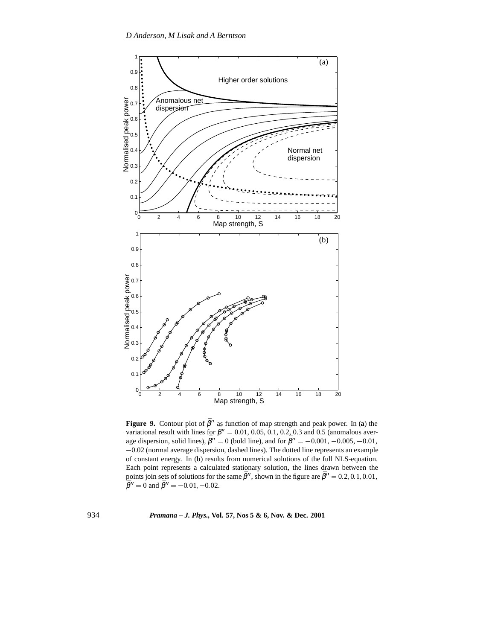

**Figure 9.** Contour plot of  $\bar{\beta}^{\prime\prime}$  as function of map strength and peak power. In (a) the variational result with lines for  $\bar{\beta}$ <sup>*''*</sup> = 0.01, 0.05, 0.1, 0.2, 0.3 and 0.5 (anomalous average dispersion, solid lines),  $\bar{\beta}'' = 0$  (bold line), and for  $\bar{\beta}'' = -0.001, -0.005, -0.01$ ,  $-0.02$  (normal average dispersion, dashed lines). The dotted line represents an example of constant energy. In (**b**) results from numerical solutions of the full NLS-equation. Each point represents a calculated stationary solution, the lines drawn between the points join sets of solutions for the same  $\bar{\beta}''$ , shown in the figure are  $\bar{\beta}'' = 0.2, 0.1, 0.01$ ,  $\bar{\beta}'' = 0$  and  $\bar{\beta}'' = -0.01$  – 0.02  $\tilde{\beta}'' = 0$  and  $\tilde{\beta}'' = -0.01, -0.02$ .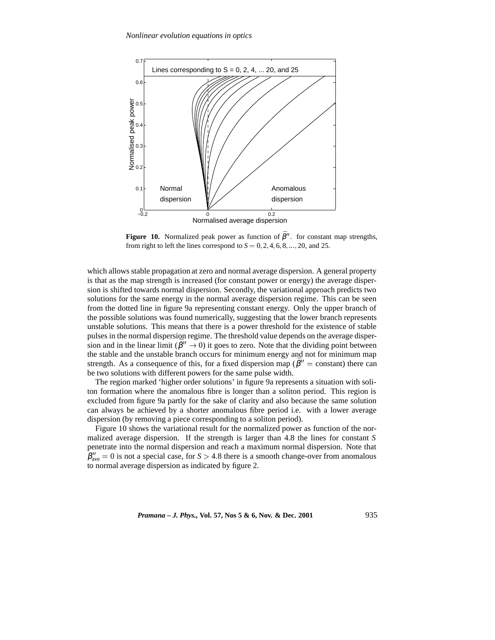

**Figure 10.** Normalized peak power as function of  $\bar{\beta}$ <sup>n</sup>. for constant map strengths, from right to left the lines correspond to  $S = 0, 2, 4, 6, 8, \ldots, 20$ , and 25.

which allows stable propagation at zero and normal average dispersion. A general property is that as the map strength is increased (for constant power or energy) the average dispersion is shifted towards normal dispersion. Secondly, the variational approach predicts two solutions for the same energy in the normal average dispersion regime. This can be seen from the dotted line in figure 9a representing constant energy. Only the upper branch of the possible solutions was found numerically, suggesting that the lower branch represents unstable solutions. This means that there is a power threshold for the existence of stable pulses in the normal dispersion regime. The threshold value depends on the average dispersion and in the linear limit ( $\overline{\beta}'' \rightarrow 0$ ) it goes to zero. Note that the dividing point between the stable and the unstable branch occurs for minimum energy and not for minimum map strength. As a consequence of this, for a fixed dispersion map ( $\bar{\beta}''$  = constant) there can be two solutions with different powers for the same pulse width.

The region marked 'higher order solutions' in figure 9a represents a situation with soliton formation where the anomalous fibre is longer than a soliton period. This region is excluded from figure 9a partly for the sake of clarity and also because the same solution can always be achieved by a shorter anomalous fibre period i.e. with a lower average dispersion (by removing a piece corresponding to a soliton period).

Figure 10 shows the variational result for the normalized power as function of the normalized average dispersion. If the strength is larger than 4.8 the lines for constant *S* penetrate into the normal dispersion and reach a maximum normal dispersion. Note that  $\beta_{\text{ave}}^{\prime\prime} = 0$  is not a special case, for  $S > 4.8$  there is a smooth change-over from anomalous to normal average dispersion as indicated by figure 2.